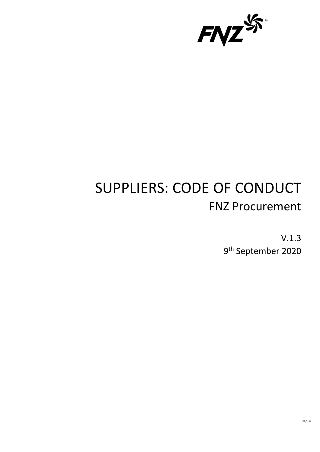

# SUPPLIERS: CODE OF CONDUCT FNZ Procurement

V.1.3 9th September 2020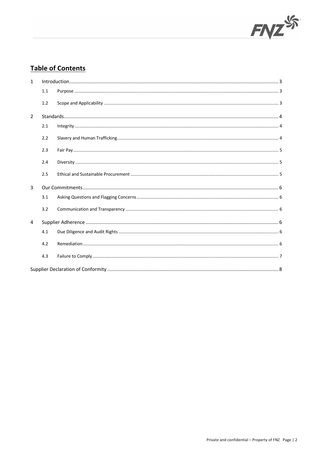

# **Table of Contents**

| $\mathbf{1}$   |     |  |  |  |
|----------------|-----|--|--|--|
|                | 1.1 |  |  |  |
|                | 1.2 |  |  |  |
| $\overline{2}$ |     |  |  |  |
|                | 2.1 |  |  |  |
|                | 2.2 |  |  |  |
|                | 2.3 |  |  |  |
|                | 2.4 |  |  |  |
|                | 2.5 |  |  |  |
| $\overline{3}$ |     |  |  |  |
|                | 3.1 |  |  |  |
|                | 3.2 |  |  |  |
| 4              |     |  |  |  |
|                | 4.1 |  |  |  |
|                | 4.2 |  |  |  |
|                | 4.3 |  |  |  |
|                |     |  |  |  |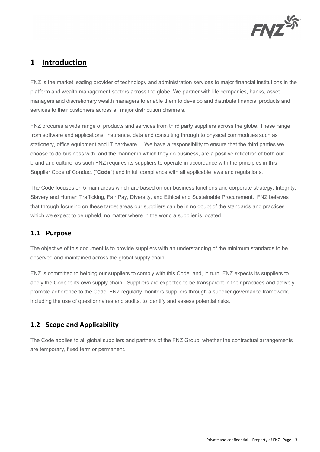

# **1 Introduction**

FNZ is the market leading provider of technology and administration services to major financial institutions in the platform and wealth management sectors across the globe. We partner with life companies, banks, asset managers and discretionary wealth managers to enable them to develop and distribute financial products and services to their customers across all major distribution channels.

FNZ procures a wide range of products and services from third party suppliers across the globe. These range from software and applications, insurance, data and consulting through to physical commodities such as stationery, office equipment and IT hardware. We have a responsibility to ensure that the third parties we choose to do business with, and the manner in which they do business, are a positive reflection of both our brand and culture, as such FNZ requires its suppliers to operate in accordance with the principles in this Supplier Code of Conduct ("**Code**") and in full compliance with all applicable laws and regulations.

The Code focuses on 5 main areas which are based on our business functions and corporate strategy: Integrity, Slavery and Human Trafficking, Fair Pay, Diversity, and Ethical and Sustainable Procurement. FNZ believes that through focusing on these target areas our suppliers can be in no doubt of the standards and practices which we expect to be upheld, no matter where in the world a supplier is located.

#### **1.1 Purpose**

The objective of this document is to provide suppliers with an understanding of the minimum standards to be observed and maintained across the global supply chain.

FNZ is committed to helping our suppliers to comply with this Code, and, in turn, FNZ expects its suppliers to apply the Code to its own supply chain. Suppliers are expected to be transparent in their practices and actively promote adherence to the Code. FNZ regularly monitors suppliers through a supplier governance framework, including the use of questionnaires and audits, to identify and assess potential risks.

### **1.2 Scope and Applicability**

The Code applies to all global suppliers and partners of the FNZ Group, whether the contractual arrangements are temporary, fixed term or permanent.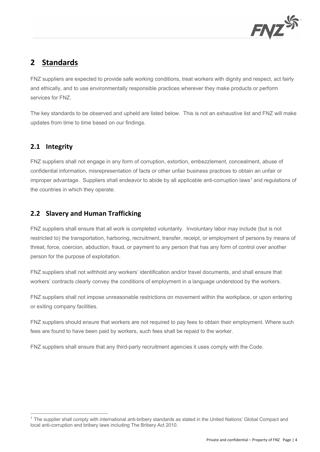

# **2 Standards**

FNZ suppliers are expected to provide safe working conditions, treat workers with dignity and respect, act fairly and ethically, and to use environmentally responsible practices wherever they make products or perform services for FNZ.

The key standards to be observed and upheld are listed below. This is not an exhaustive list and FNZ will make updates from time to time based on our findings.

## **2.1 Integrity**

FNZ suppliers shall not engage in any form of corruption, extortion, embezzlement, concealment, abuse of confidential information, misrepresentation of facts or other unfair business practices to obtain an unfair or improper advantage. Suppliers shall endeavor to abide by all applicable anti-corruption laws<sup>1</sup> and regulations of the countries in which they operate.

## **2.2 Slavery and Human Trafficking**

FNZ suppliers shall ensure that all work is completed voluntarily. Involuntary labor may include (but is not restricted to) the transportation, harboring, recruitment, transfer, receipt, or employment of persons by means of threat, force, coercion, abduction, fraud, or payment to any person that has any form of control over another person for the purpose of exploitation.

FNZ suppliers shall not withhold any workers' identification and/or travel documents, and shall ensure that workers' contracts clearly convey the conditions of employment in a language understood by the workers.

FNZ suppliers shall not impose unreasonable restrictions on movement within the workplace, or upon entering or exiting company facilities.

FNZ suppliers should ensure that workers are not required to pay fees to obtain their employment. Where such fees are found to have been paid by workers, such fees shall be repaid to the worker.

FNZ suppliers shall ensure that any third-party recruitment agencies it uses comply with the Code.

 $1$  The supplier shall comply with international anti-bribery standards as stated in the United Nations' Global Compact and local anti-corruption and bribery laws including The Bribery Act 2010.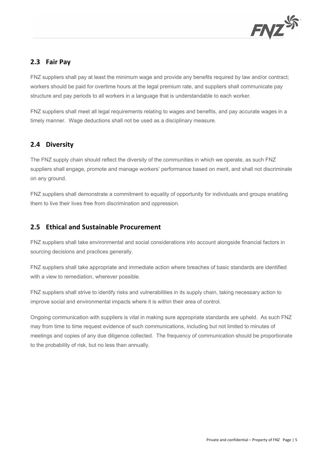

### **2.3 Fair Pay**

FNZ suppliers shall pay at least the minimum wage and provide any benefits required by law and/or contract; workers should be paid for overtime hours at the legal premium rate, and suppliers shall communicate pay structure and pay periods to all workers in a language that is understandable to each worker.

FNZ suppliers shall meet all legal requirements relating to wages and benefits, and pay accurate wages in a timely manner. Wage deductions shall not be used as a disciplinary measure.

## **2.4 Diversity**

The FNZ supply chain should reflect the diversity of the communities in which we operate, as such FNZ suppliers shall engage, promote and manage workers' performance based on merit, and shall not discriminate on any ground.

FNZ suppliers shall demonstrate a commitment to equality of opportunity for individuals and groups enabling them to live their lives free from discrimination and oppression.

### **2.5 Ethical and Sustainable Procurement**

FNZ suppliers shall take environmental and social considerations into account alongside financial factors in sourcing decisions and practices generally.

FNZ suppliers shall take appropriate and immediate action where breaches of basic standards are identified with a view to remediation, wherever possible.

FNZ suppliers shall strive to identify risks and vulnerabilities in its supply chain, taking necessary action to improve social and environmental impacts where it is within their area of control.

Ongoing communication with suppliers is vital in making sure appropriate standards are upheld. As such FNZ may from time to time request evidence of such communications, including but not limited to minutes of meetings and copies of any due diligence collected. The frequency of communication should be proportionate to the probability of risk, but no less than annually.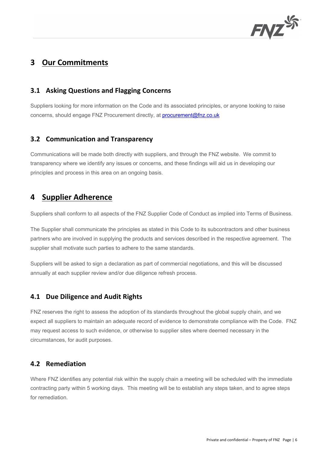

# **3 Our Commitments**

#### **3.1 Asking Questions and Flagging Concerns**

Suppliers looking for more information on the Code and its associated principles, or anyone looking to raise concerns, should engage FNZ Procurement directly, at procurement@fnz.co.uk

#### **3.2 Communication and Transparency**

Communications will be made both directly with suppliers, and through the FNZ website. We commit to transparency where we identify any issues or concerns, and these findings will aid us in developing our principles and process in this area on an ongoing basis.

# **4 Supplier Adherence**

Suppliers shall conform to all aspects of the FNZ Supplier Code of Conduct as implied into Terms of Business.

The Supplier shall communicate the principles as stated in this Code to its subcontractors and other business partners who are involved in supplying the products and services described in the respective agreement. The supplier shall motivate such parties to adhere to the same standards.

Suppliers will be asked to sign a declaration as part of commercial negotiations, and this will be discussed annually at each supplier review and/or due diligence refresh process.

#### **4.1 Due Diligence and Audit Rights**

FNZ reserves the right to assess the adoption of its standards throughout the global supply chain, and we expect all suppliers to maintain an adequate record of evidence to demonstrate compliance with the Code. FNZ may request access to such evidence, or otherwise to supplier sites where deemed necessary in the circumstances, for audit purposes.

#### **4.2 Remediation**

Where FNZ identifies any potential risk within the supply chain a meeting will be scheduled with the immediate contracting party within 5 working days. This meeting will be to establish any steps taken, and to agree steps for remediation.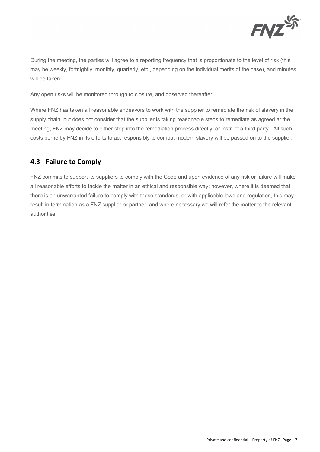

During the meeting, the parties will agree to a reporting frequency that is proportionate to the level of risk (this may be weekly, fortnightly, monthly, quarterly, etc., depending on the individual merits of the case), and minutes will be taken.

Any open risks will be monitored through to closure, and observed thereafter.

Where FNZ has taken all reasonable endeavors to work with the supplier to remediate the risk of slavery in the supply chain, but does not consider that the supplier is taking reasonable steps to remediate as agreed at the meeting, FNZ may decide to either step into the remediation process directly, or instruct a third party. All such costs borne by FNZ in its efforts to act responsibly to combat modern slavery will be passed on to the supplier.

### **4.3 Failure to Comply**

FNZ commits to support its suppliers to comply with the Code and upon evidence of any risk or failure will make all reasonable efforts to tackle the matter in an ethical and responsible way; however, where it is deemed that there is an unwarranted failure to comply with these standards, or with applicable laws and regulation, this may result in termination as a FNZ supplier or partner, and where necessary we will refer the matter to the relevant authorities.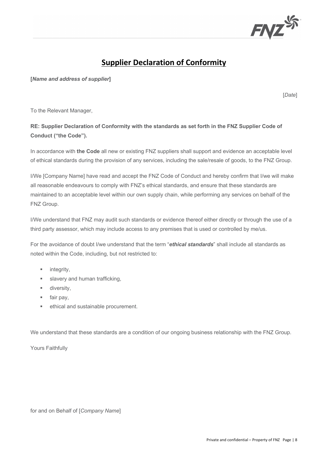

# **Supplier Declaration of Conformity**

**[***Name and address of supplier***]**

[*Date*]

To the Relevant Manager,

#### **RE: Supplier Declaration of Conformity with the standards as set forth in the FNZ Supplier Code of Conduct ("the Code").**

In accordance with **the Code** all new or existing FNZ suppliers shall support and evidence an acceptable level of ethical standards during the provision of any services, including the sale/resale of goods, to the FNZ Group.

I/We [Company Name] have read and accept the FNZ Code of Conduct and hereby confirm that I/we will make all reasonable endeavours to comply with FNZ's ethical standards, and ensure that these standards are maintained to an acceptable level within our own supply chain, while performing any services on behalf of the FNZ Group.

I/We understand that FNZ may audit such standards or evidence thereof either directly or through the use of a third party assessor, which may include access to any premises that is used or controlled by me/us.

For the avoidance of doubt I/we understand that the term "*ethical standards*" shall include all standards as noted within the Code, including, but not restricted to:

- **■** integrity,
- **■** slavery and human trafficking,
- diversity,
- fair pay,
- ethical and sustainable procurement.

We understand that these standards are a condition of our ongoing business relationship with the FNZ Group.

Yours Faithfully

for and on Behalf of [*Company Name*]